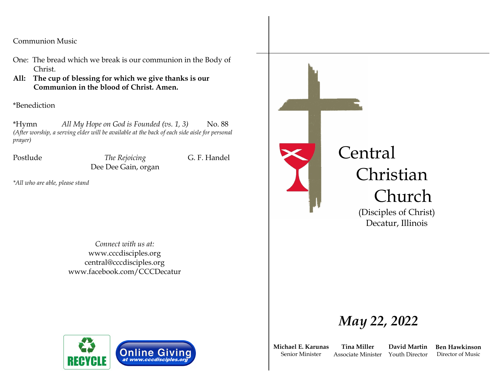Communion Music

- One: The bread which we break is our communion in the Body of Christ.
- **All: The cup of blessing for which we give thanks is our Communion in the blood of Christ. Amen.**

\*Benediction

\*Hymn *All My Hope on God is Founded (vs. 1, 3)* No. 88 *(After worship, a serving elder will be available at the back of each side aisle for personal prayer)*

Postlude *The Rejoicing* G. F. Handel Dee Dee Gain, organ

*\*All who are able, please stand*

*Connect with us at:* www.cccdisciples.org central@cccdisciples.org www.facebook.com/CCCDecatur



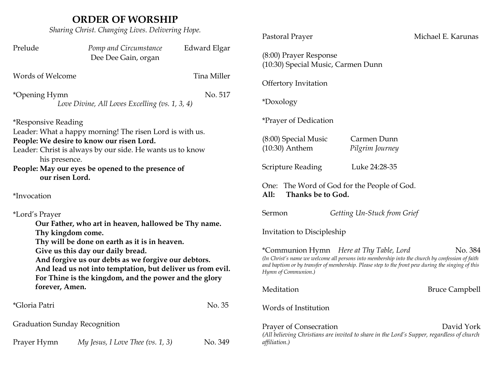# **ORDER OF WORSHIP**

*Sharing Christ. Changing Lives. Delivering Hope.*

| $\epsilon$ and $\epsilon$ and $\epsilon$ and $\epsilon$ and $\epsilon$ and $\epsilon$ and $\epsilon$                                                                                                                                                                                                                                          |                                                |                                                                          | Pastoral Prayer                                                                                                                                                                                                                                                                   | Michael E. Karunas             |
|-----------------------------------------------------------------------------------------------------------------------------------------------------------------------------------------------------------------------------------------------------------------------------------------------------------------------------------------------|------------------------------------------------|--------------------------------------------------------------------------|-----------------------------------------------------------------------------------------------------------------------------------------------------------------------------------------------------------------------------------------------------------------------------------|--------------------------------|
| Prelude                                                                                                                                                                                                                                                                                                                                       | Pomp and Circumstance<br>Dee Dee Gain, organ   | Edward Elgar                                                             | (8:00) Prayer Response<br>(10:30) Special Music, Carmen Dunn                                                                                                                                                                                                                      |                                |
| Words of Welcome                                                                                                                                                                                                                                                                                                                              |                                                | Tina Miller                                                              | <b>Offertory Invitation</b>                                                                                                                                                                                                                                                       |                                |
| *Opening Hymn                                                                                                                                                                                                                                                                                                                                 | Love Divine, All Loves Excelling (vs. 1, 3, 4) | No. 517                                                                  | *Doxology                                                                                                                                                                                                                                                                         |                                |
| <i>*Responsive Reading</i>                                                                                                                                                                                                                                                                                                                    |                                                |                                                                          | <i>*Prayer of Dedication</i>                                                                                                                                                                                                                                                      |                                |
| Leader: What a happy morning! The risen Lord is with us.<br>People: We desire to know our risen Lord.<br>Leader: Christ is always by our side. He wants us to know<br>his presence.                                                                                                                                                           |                                                |                                                                          | (8:00) Special Music<br>$(10:30)$ Anthem                                                                                                                                                                                                                                          | Carmen Dunn<br>Pilgrim Journey |
| People: May our eyes be opened to the presence of<br>our risen Lord.                                                                                                                                                                                                                                                                          |                                                |                                                                          | <b>Scripture Reading</b>                                                                                                                                                                                                                                                          | Luke 24:28-35                  |
| *Invocation                                                                                                                                                                                                                                                                                                                                   |                                                | One: The Word of God for the People of God.<br>All:<br>Thanks be to God. |                                                                                                                                                                                                                                                                                   |                                |
| *Lord's Prayer                                                                                                                                                                                                                                                                                                                                |                                                |                                                                          | Sermon                                                                                                                                                                                                                                                                            | Getting Un-Stuck from Grief    |
| Our Father, who art in heaven, hallowed be Thy name.<br>Thy kingdom come.<br>Thy will be done on earth as it is in heaven.<br>Give us this day our daily bread.<br>And forgive us our debts as we forgive our debtors.<br>And lead us not into temptation, but deliver us from evil.<br>For Thine is the kingdom, and the power and the glory |                                                |                                                                          | Invitation to Discipleship                                                                                                                                                                                                                                                        |                                |
|                                                                                                                                                                                                                                                                                                                                               |                                                |                                                                          | *Communion Hymn Here at Thy Table, Lord<br>No. 384<br>(In Christ's name we welcome all persons into membership into the church by confession of faith<br>and baptism or by transfer of membership. Please step to the front pew during the singing of this<br>Hymn of Communion.) |                                |
| forever, Amen.                                                                                                                                                                                                                                                                                                                                |                                                |                                                                          | Meditation                                                                                                                                                                                                                                                                        | <b>Bruce Campbell</b>          |
| *Gloria Patri                                                                                                                                                                                                                                                                                                                                 |                                                | No. 35                                                                   | Words of Institution                                                                                                                                                                                                                                                              |                                |
| <b>Graduation Sunday Recognition</b>                                                                                                                                                                                                                                                                                                          |                                                |                                                                          | Prayer of Consecration<br>David York                                                                                                                                                                                                                                              |                                |
| Prayer Hymn                                                                                                                                                                                                                                                                                                                                   | My Jesus, I Love Thee $(vs. 1, 3)$             | No. 349                                                                  | (All believing Christians are invited to share in the Lord's Supper, regardless of church<br>affiliation.)                                                                                                                                                                        |                                |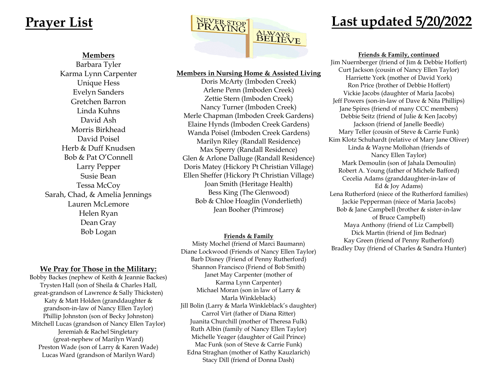### **Members**

Barbara Tyler Karma Lynn Carpenter Unique Hess Evelyn Sanders Gretchen Barron Linda Kuhns David Ash Morris Birkhead David Poisel Herb & Duff Knudsen Bob & Pat O'Connell Larry Pepper Susie Bean Tessa McCoy Sarah, Chad, & Amelia Jennings Lauren McLemore Helen Ryan Dean Gray Bob Logan

## **We Pray for Those in the Military:**

Bobby Backes (nephew of Keith & Jeannie Backes) Trysten Hall (son of Sheila & Charles Hall, great-grandson of Lawrence & Sally Thicksten) Katy & Matt Holden (granddaughter & grandson-in-law of Nancy Ellen Taylor) Phillip Johnston (son of Becky Johnston) Mitchell Lucas (grandson of Nancy Ellen Taylor) Jeremiah & Rachel Singletary (great-nephew of Marilyn Ward) Preston Wade (son of Larry & Karen Wade) Lucas Ward (grandson of Marilyn Ward)



### **Members in Nursing Home & Assisted Living**

Doris McArty (Imboden Creek) Arlene Penn (Imboden Creek) Zettie Stern (Imboden Creek) Nancy Turner (Imboden Creek) Merle Chapman (Imboden Creek Gardens) Elaine Hynds (Imboden Creek Gardens) Wanda Poisel (Imboden Creek Gardens) Marilyn Riley (Randall Residence) Max Sperry (Randall Residence) Glen & Arlone Dalluge (Randall Residence) Doris Matey (Hickory Pt Christian Village) Ellen Sheffer (Hickory Pt Christian Village) Joan Smith (Heritage Health) Bess King (The Glenwood) Bob & Chloe Hoaglin (Vonderlieth) Jean Booher (Primrose)

### **Friends & Family**

Misty Mochel (friend of Marci Baumann) Diane Lockwood (Friends of Nancy Ellen Taylor) Barb Disney (Friend of Penny Rutherford) Shannon Francisco (Friend of Bob Smith) Janet May Carpenter (mother of Karma Lynn Carpenter) Michael Moran (son in law of Larry & Marla Winkleblack) Jill Bolin (Larry & Marla Winkleblack's daughter) Carrol Virt (father of Diana Ritter) Juanita Churchill (mother of Theresa Fulk) Ruth Albin (family of Nancy Ellen Taylor) Michelle Yeager (daughter of Gail Prince) Mac Funk (son of Steve & Carrie Funk) Edna Straghan (mother of Kathy Kauzlarich) Stacy Dill (friend of Donna Dash)

**Friends & Family, continued**

Jim Nuernberger (friend of Jim & Debbie Hoffert) Curt Jackson (cousin of Nancy Ellen Taylor) Harriette York (mother of David York) Ron Price (brother of Debbie Hoffert) Vickie Jacobs (daughter of Maria Jacobs) Jeff Powers (son-in-law of Dave & Nita Phillips) Jane Spires (friend of many CCC members) Debbie Seitz (friend of Julie & Ken Jacoby) Jackson (friend of Janelle Beedle) Mary Teller (cousin of Steve & Carrie Funk) Kim Klotz Schuhardt (relative of Mary Jane Oliver) Linda & Wayne Mollohan (friends of Nancy Ellen Taylor) Mark Demoulin (son of Jahala Demoulin) Robert A. Young (father of Michele Bafford) Cecelia Adams (granddaughter-in-law of Ed & Joy Adams) Lena Rutherford (niece of the Rutherford families) Jackie Pepperman (niece of Maria Jacobs) Bob & Jane Campbell (brother & sister-in-law of Bruce Campbell) Maya Anthony (friend of Liz Campbell) Dick Martin (friend of Jim Bednar) Kay Green (friend of Penny Rutherford) Bradley Day (friend of Charles & Sandra Hunter)